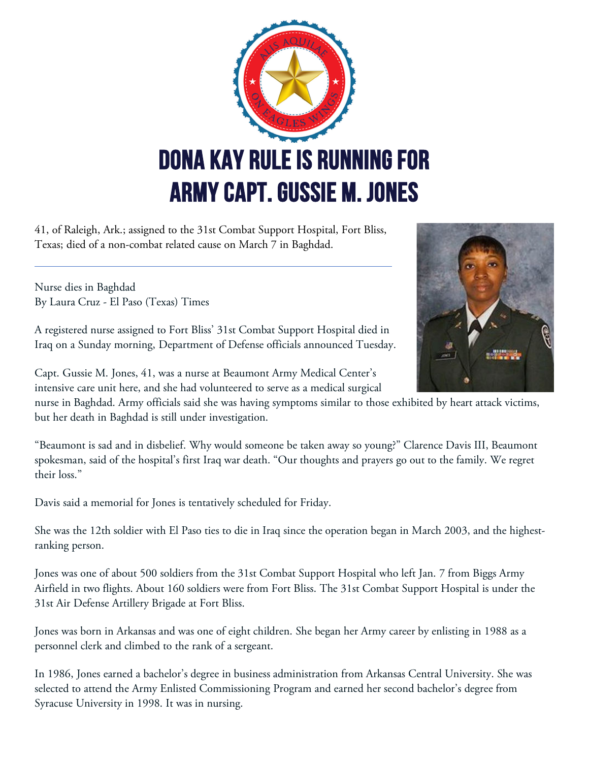

41, of Raleigh, Ark.; assigned to the 31st Combat Support Hospital, Fort Bliss, Texas; died of a non-combat related cause on March 7 in Baghdad.

Nurse dies in Baghdad By Laura Cruz - El Paso (Texas) Times

A registered nurse assigned to Fort Bliss' 31st Combat Support Hospital died in Iraq on a Sunday morning, Department of Defense officials announced Tuesday.

Capt. Gussie M. Jones, 41, was a nurse at Beaumont Army Medical Center's intensive care unit here, and she had volunteered to serve as a medical surgical

nurse in Baghdad. Army officials said she was having symptoms similar to those exhibited by heart attack victims, but her death in Baghdad is still under investigation.

"Beaumont is sad and in disbelief. Why would someone be taken away so young?" Clarence Davis III, Beaumont spokesman, said of the hospital's first Iraq war death. "Our thoughts and prayers go out to the family. We regret their loss."

Davis said a memorial for Jones is tentatively scheduled for Friday.

She was the 12th soldier with El Paso ties to die in Iraq since the operation began in March 2003, and the highestranking person.

Jones was one of about 500 soldiers from the 31st Combat Support Hospital who left Jan. 7 from Biggs Army Airfield in two flights. About 160 soldiers were from Fort Bliss. The 31st Combat Support Hospital is under the 31st Air Defense Artillery Brigade at Fort Bliss.

Jones was born in Arkansas and was one of eight children. She began her Army career by enlisting in 1988 as a personnel clerk and climbed to the rank of a sergeant.

In 1986, Jones earned a bachelor's degree in business administration from Arkansas Central University. She was selected to attend the Army Enlisted Commissioning Program and earned her second bachelor's degree from Syracuse University in 1998. It was in nursing.